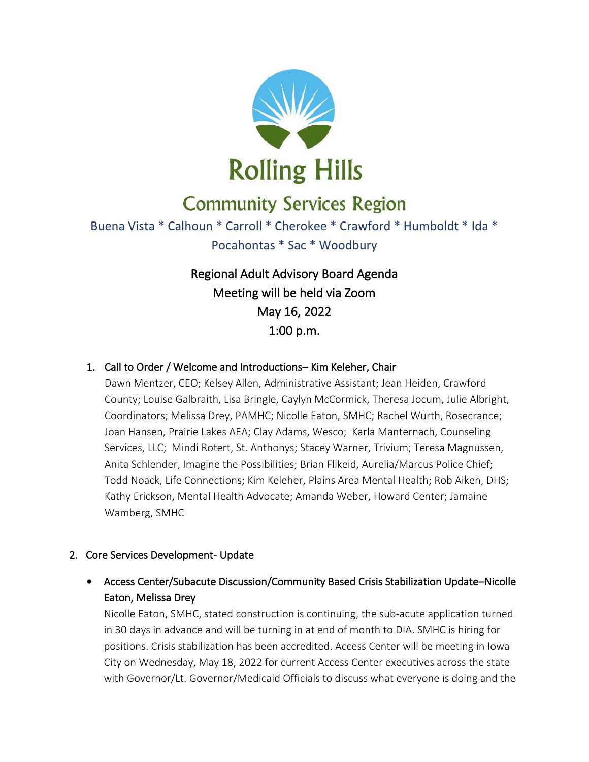

# **Community Services Region**

# Buena Vista \* Calhoun \* Carroll \* Cherokee \* Crawford \* Humboldt \* Ida \* Pocahontas \* Sac \* Woodbury

Regional Adult Advisory Board Agenda Meeting will be held via Zoom May 16, 2022 1:00 p.m.

#### 1. Call to Order / Welcome and Introductions– Kim Keleher, Chair

Dawn Mentzer, CEO; Kelsey Allen, Administrative Assistant; Jean Heiden, Crawford County; Louise Galbraith, Lisa Bringle, Caylyn McCormick, Theresa Jocum, Julie Albright, Coordinators; Melissa Drey, PAMHC; Nicolle Eaton, SMHC; Rachel Wurth, Rosecrance; Joan Hansen, Prairie Lakes AEA; Clay Adams, Wesco; Karla Manternach, Counseling Services, LLC; Mindi Rotert, St. Anthonys; Stacey Warner, Trivium; Teresa Magnussen, Anita Schlender, Imagine the Possibilities; Brian Flikeid, Aurelia/Marcus Police Chief; Todd Noack, Life Connections; Kim Keleher, Plains Area Mental Health; Rob Aiken, DHS; Kathy Erickson, Mental Health Advocate; Amanda Weber, Howard Center; Jamaine Wamberg, SMHC

#### 2. Core Services Development- Update

• Access Center/Subacute Discussion/Community Based Crisis Stabilization Update–Nicolle Eaton, Melissa Drey

Nicolle Eaton, SMHC, stated construction is continuing, the sub-acute application turned in 30 days in advance and will be turning in at end of month to DIA. SMHC is hiring for positions. Crisis stabilization has been accredited. Access Center will be meeting in Iowa City on Wednesday, May 18, 2022 for current Access Center executives across the state with Governor/Lt. Governor/Medicaid Officials to discuss what everyone is doing and the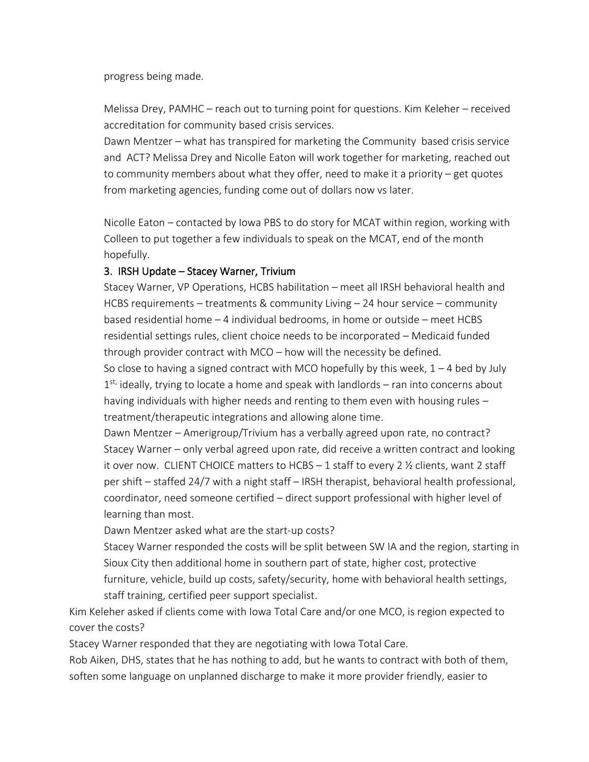progress being made.

Melissa Drey, PAMHC – reach out to turning point for questions. Kim Keleher – received accreditation for community based crisis services.

Dawn Mentzer – what has transpired for marketing the Community based crisis service and ACT? Melissa Drey and Nicolle Eaton will work together for marketing, reached out to community members about what they offer, need to make it a priority – get quotes from marketing agencies, funding come out of dollars now vs later.

Nicolle Eaton – contacted by Iowa PBS to do story for MCAT within region, working with Colleen to put together a few individuals to speak on the MCAT, end of the month hopefully.

#### 3. IRSH Update – Stacey Warner, Trivium

Stacey Warner, VP Operations, HCBS habilitation – meet all IRSH behavioral health and HCBS requirements – treatments & community Living – 24 hour service – community based residential home – 4 individual bedrooms, in home or outside – meet HCBS residential settings rules, client choice needs to be incorporated – Medicaid funded through provider contract with MCO – how will the necessity be defined.

So close to having a signed contract with MCO hopefully by this week,  $1 - 4$  bed by July 1<sup>st,</sup> ideally, trying to locate a home and speak with landlords – ran into concerns about having individuals with higher needs and renting to them even with housing rules – treatment/therapeutic integrations and allowing alone time.

Dawn Mentzer – Amerigroup/Trivium has a verbally agreed upon rate, no contract? Stacey Warner – only verbal agreed upon rate, did receive a written contract and looking it over now. CLIENT CHOICE matters to HCBS – 1 staff to every 2 ½ clients, want 2 staff per shift – staffed 24/7 with a night staff – IRSH therapist, behavioral health professional, coordinator, need someone certified – direct support professional with higher level of learning than most.

Dawn Mentzer asked what are the start-up costs?

Stacey Warner responded the costs will be split between SW IA and the region, starting in Sioux City then additional home in southern part of state, higher cost, protective furniture, vehicle, build up costs, safety/security, home with behavioral health settings, staff training, certified peer support specialist.

Kim Keleher asked if clients come with Iowa Total Care and/or one MCO, is region expected to cover the costs?

Stacey Warner responded that they are negotiating with Iowa Total Care.

Rob Aiken, DHS, states that he has nothing to add, but he wants to contract with both of them, soften some language on unplanned discharge to make it more provider friendly, easier to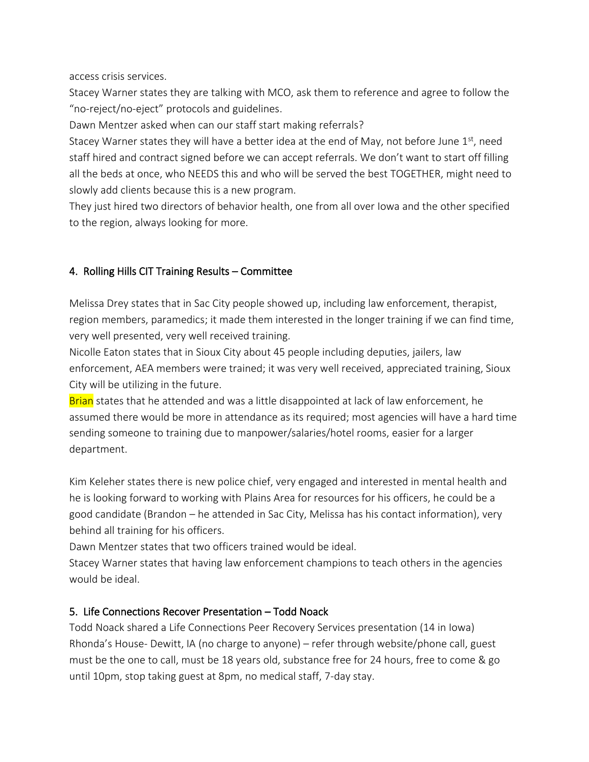access crisis services.

Stacey Warner states they are talking with MCO, ask them to reference and agree to follow the "no-reject/no-eject" protocols and guidelines.

Dawn Mentzer asked when can our staff start making referrals?

Stacey Warner states they will have a better idea at the end of May, not before June  $1<sup>st</sup>$ , need staff hired and contract signed before we can accept referrals. We don't want to start off filling all the beds at once, who NEEDS this and who will be served the best TOGETHER, might need to slowly add clients because this is a new program.

They just hired two directors of behavior health, one from all over Iowa and the other specified to the region, always looking for more.

### 4. Rolling Hills CIT Training Results – Committee

Melissa Drey states that in Sac City people showed up, including law enforcement, therapist, region members, paramedics; it made them interested in the longer training if we can find time, very well presented, very well received training.

Nicolle Eaton states that in Sioux City about 45 people including deputies, jailers, law enforcement, AEA members were trained; it was very well received, appreciated training, Sioux City will be utilizing in the future.

Brian states that he attended and was a little disappointed at lack of law enforcement, he assumed there would be more in attendance as its required; most agencies will have a hard time sending someone to training due to manpower/salaries/hotel rooms, easier for a larger department.

Kim Keleher states there is new police chief, very engaged and interested in mental health and he is looking forward to working with Plains Area for resources for his officers, he could be a good candidate (Brandon – he attended in Sac City, Melissa has his contact information), very behind all training for his officers.

Dawn Mentzer states that two officers trained would be ideal.

Stacey Warner states that having law enforcement champions to teach others in the agencies would be ideal.

### 5. Life Connections Recover Presentation – Todd Noack

Todd Noack shared a Life Connections Peer Recovery Services presentation (14 in Iowa) Rhonda's House- Dewitt, IA (no charge to anyone) – refer through website/phone call, guest must be the one to call, must be 18 years old, substance free for 24 hours, free to come & go until 10pm, stop taking guest at 8pm, no medical staff, 7-day stay.